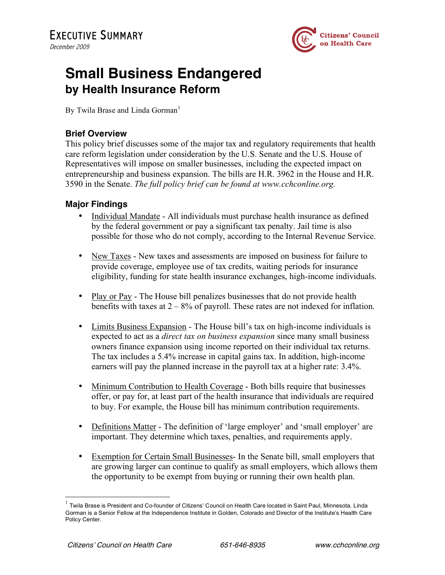

## **Small Business Endangered by Health Insurance Reform**

By Twila Brase and Linda Gorman<sup>1</sup>

## **Brief Overview**

This policy brief discusses some of the major tax and regulatory requirements that health care reform legislation under consideration by the U.S. Senate and the U.S. House of Representatives will impose on smaller businesses, including the expected impact on entrepreneurship and business expansion. The bills are H.R. 3962 in the House and H.R. 3590 in the Senate. *The full policy brief can be found at www.cchconline.org.*

## **Major Findings**

- Individual Mandate All individuals must purchase health insurance as defined by the federal government or pay a significant tax penalty. Jail time is also possible for those who do not comply, according to the Internal Revenue Service.
- New Taxes New taxes and assessments are imposed on business for failure to provide coverage, employee use of tax credits, waiting periods for insurance eligibility, funding for state health insurance exchanges, high-income individuals.
- Play or Pay The House bill penalizes businesses that do not provide health benefits with taxes at  $2 - 8\%$  of payroll. These rates are not indexed for inflation.
- Limits Business Expansion The House bill's tax on high-income individuals is expected to act as a *direct tax on business expansion* since many small business owners finance expansion using income reported on their individual tax returns. The tax includes a 5.4% increase in capital gains tax. In addition, high-income earners will pay the planned increase in the payroll tax at a higher rate: 3.4%.
- Minimum Contribution to Health Coverage Both bills require that businesses offer, or pay for, at least part of the health insurance that individuals are required to buy. For example, the House bill has minimum contribution requirements.
- Definitions Matter The definition of 'large employer' and 'small employer' are important. They determine which taxes, penalties, and requirements apply.
- Exemption for Certain Small Businesses- In the Senate bill, small employers that are growing larger can continue to qualify as small employers, which allows them the opportunity to be exempt from buying or running their own health plan.

 <sup>1</sup> Twila Brase is President and Co-founder of Citizens' Council on Health Care located in Saint Paul, Minnesota. Linda Gorman is a Senior Fellow at the Independence Institute in Golden, Colorado and Director of the Institute's Health Care Policy Center.